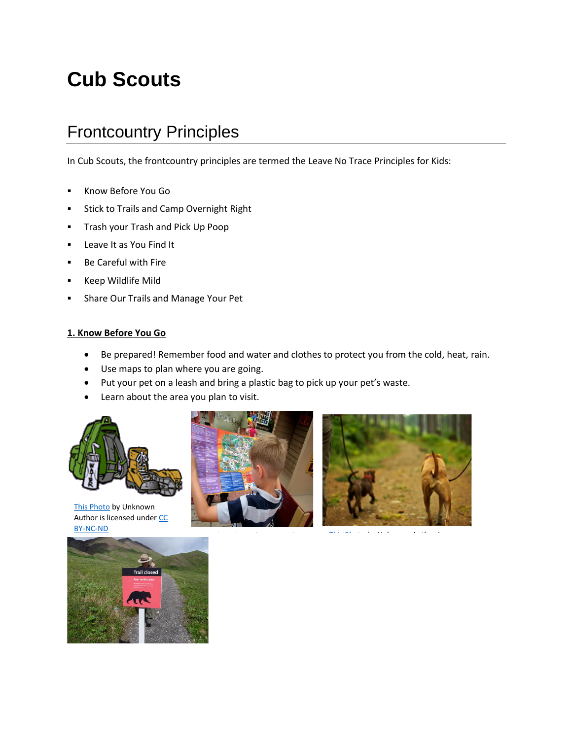# **Cub Scouts**

# Frontcountry Principles

In Cub Scouts, the frontcountry principles are termed the Leave No Trace Principles for Kids:

- Know Before You Go
- **EXEC** Stick to Trails and Camp Overnight Right
- **·** Trash your Trash and Pick Up Poop
- Leave It as You Find It
- Be Careful with Fire
- Keep Wildlife Mild
- Share Our Trails and Manage Your Pet

#### **1. Know Before You Go**

- Be prepared! Remember food and water and clothes to protect you from the cold, heat, rain.
- Use maps to plan where you are going.
- Put your pet on a leash and bring a plastic bag to pick up your pet's waste.
- Learn about the area you plan to visit.



This [Photo](http://www.joesdiner.org/adventures/apostle-islands-2010/manifest.html) by Unknown Author is licensed under CC [BY-NC-ND](https://creativecommons.org/licenses/by-nc-nd/3.0/)





[This Photo](http://www.flickr.com/photos/footloosiety/3251733385/) by Unknown Author This Photo by Unknown Author This Photo by Unknown Author is Photo by Unknown Aut<br>Photo by Unknown Author is Photo by Unknown Author is Photo by Unknown Author is Photo by Unknown Author is Ph

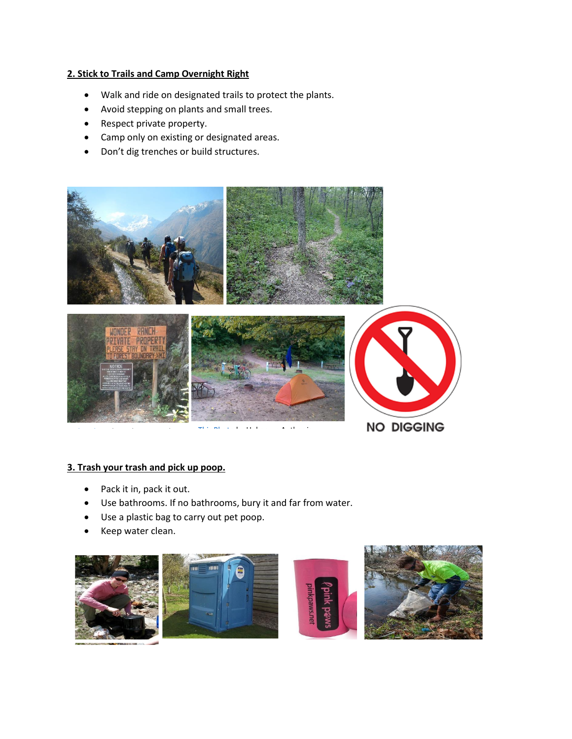## **2. Stick to Trails and Camp Overnight Right**

- Walk and ride on designated trails to protect the plants.
- Avoid stepping on plants and small trees.
- Respect private property.
- Camp only on existing or designated areas.
- Don't dig trenches or build structures.



# **3. Trash your trash and pick up poop.**

- Pack it in, pack it out.
- Use bathrooms. If no bathrooms, bury it and far from water.
- Use a plastic bag to carry out pet poop.
- Keep water clean.





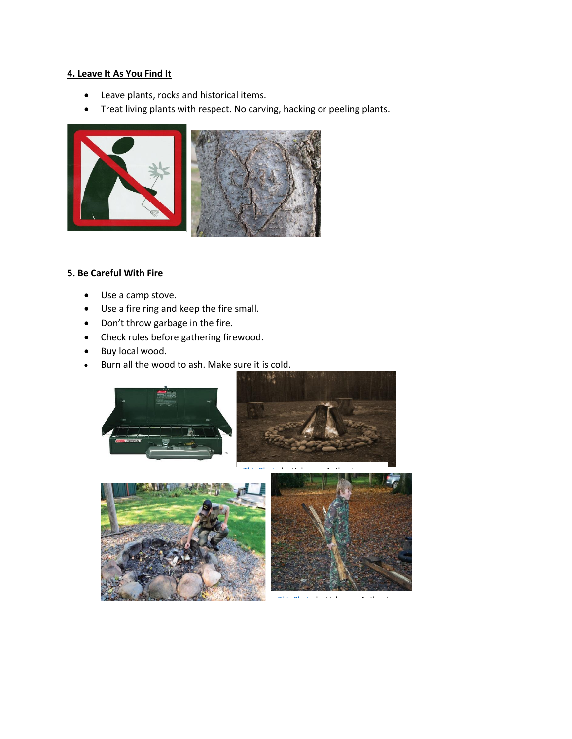#### **4. Leave It As You Find It**

- Leave plants, rocks and historical items.
- Treat living plants with respect. No carving, hacking or peeling plants.



# **[5. Be Care](https://creativecommons.org/licenses/by-nc-sa/3.0/)ful With Fire**

- Use a camp stove.
- Use a fire ring and keep the fire small.
- Don't throw garbage in the fire.
- Check rules before gathering firewood.
- Buy local wood.
- Burn all the wood to ash. Make sure it is cold.



[This Photo](https://en.wikipedia.org/wiki/Fire_ring) by Unknown Author is a strong with the contract of the contract of the contract of the contract of the contract of the contract of the contract of the contract of the contract of the contract of the contract of





[This Photo](https://www.flickr.com/photos/jaywood/5172083808) by Unknown Author is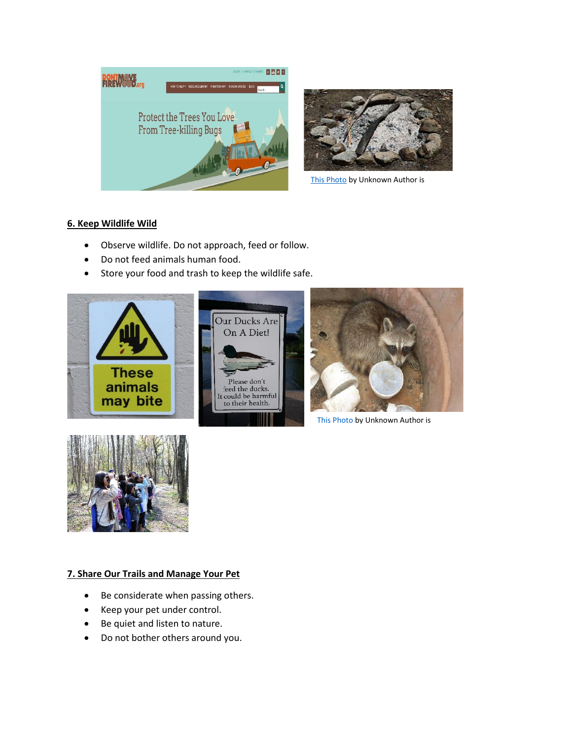



[This Photo](https://de.wikipedia.org/wiki/Asche) by Unknown Author is

# **6. Keep Wildlife Wild**

- Observe wildlife. Do not approach, feed or follow.
- Do not feed animals human food.
- Store your food and trash to keep the wildlife safe.





[This Photo](http://urban-science.blogspot.com/2009/07/wordless-wednesday-wildlife-among-us.html) by Unknown Author is



# **7. Share Our Trails and Manage Your Pet**

- Be considerate when passing others.
- Keep your pet under control.
- Be quiet and listen to nature.
- Do not bother others around you.